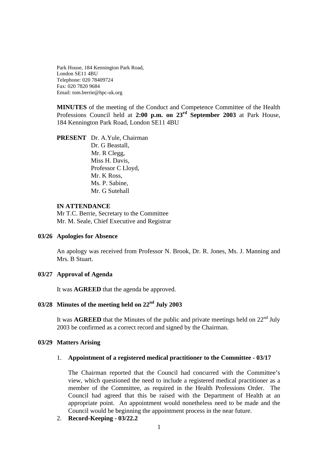Park House, 184 Kennington Park Road, London SE11 4BU Telephone: 020 78409724 Fax: 020 7820 9684 Email: tom.berrie@hpc-uk.org

**MINUTES** of the meeting of the Conduct and Competence Committee of the Health Professions Council held at **2:00 p.m. on 23rd September 2003** at Park House, 184 Kennington Park Road, London SE11 4BU

**PRESENT** Dr. A.Yule, Chairman Dr. G Beastall, Mr. R Clegg, Miss H. Davis, Professor C Lloyd, Mr. K Ross, Ms. P. Sabine, Mr. G Sutehall

#### **IN ATTENDANCE**

Mr T.C. Berrie, Secretary to the Committee Mr. M. Seale, Chief Executive and Registrar

#### **03/26 Apologies for Absence**

An apology was received from Professor N. Brook, Dr. R. Jones, Ms. J. Manning and Mrs. B Stuart.

#### **03/27 Approval of Agenda**

It was **AGREED** that the agenda be approved.

# **03/28 Minutes of the meeting held on 22nd July 2003**

It was **AGREED** that the Minutes of the public and private meetings held on  $22<sup>nd</sup>$  July 2003 be confirmed as a correct record and signed by the Chairman.

### **03/29 Matters Arising**

#### 1. **Appointment of a registered medical practitioner to the Committee - 03/17**

The Chairman reported that the Council had concurred with the Committee's view, which questioned the need to include a registered medical practitioner as a member of the Committee, as required in the Health Professions Order. The Council had agreed that this be raised with the Department of Health at an appropriate point. An appointment would nonetheless need to be made and the Council would be beginning the appointment process in the near future.

2. **Record-Keeping - 03/22.2**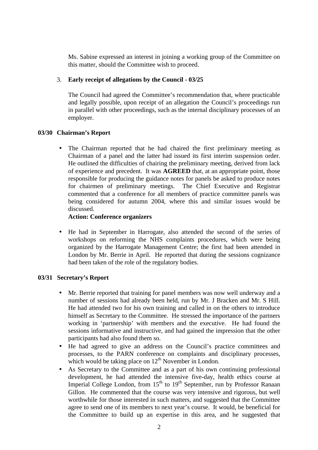Ms. Sabine expressed an interest in joining a working group of the Committee on this matter, should the Committee wish to proceed.

# 3. **Early receipt of allegations by the Council - 03/25**

The Council had agreed the Committee's recommendation that, where practicable and legally possible, upon receipt of an allegation the Council's proceedings run in parallel with other proceedings, such as the internal disciplinary processes of an employer.

# **03/30 Chairman's Report**

• The Chairman reported that he had chaired the first preliminary meeting as Chairman of a panel and the latter had issued its first interim suspension order. He outlined the difficulties of chairing the preliminary meeting, derived from lack of experience and precedent. It was **AGREED** that, at an appropriate point, those responsible for producing the guidance notes for panels be asked to produce notes for chairmen of preliminary meetings. The Chief Executive and Registrar commented that a conference for all members of practice committee panels was being considered for autumn 2004, where this and similar issues would be discussed.

## **Action: Conference organizers**

• He had in September in Harrogate, also attended the second of the series of workshops on reforming the NHS complaints procedures, which were being organized by the Harrogate Management Centre; the first had been attended in London by Mr. Berrie in April. He reported that during the sessions cognizance had been taken of the role of the regulatory bodies.

## **03/31 Secretary's Report**

- Mr. Berrie reported that training for panel members was now well underway and a number of sessions had already been held, run by Mr. J Bracken and Mr. S Hill. He had attended two for his own training and called in on the others to introduce himself as Secretary to the Committee. He stressed the importance of the partners working in 'partnership' with members and the executive. He had found the sessions informative and instructive, and had gained the impression that the other participants had also found them so.
- He had agreed to give an address on the Council's practice committees and processes, to the PARN conference on complaints and disciplinary processes, which would be taking place on  $12<sup>th</sup>$  November in London.
- As Secretary to the Committee and as a part of his own continuing professional development, he had attended the intensive five-day, health ethics course at Imperial College London, from  $15<sup>th</sup>$  to  $19<sup>th</sup>$  September, run by Professor Ranaan Gillon. He commented that the course was very intensive and rigorous, but well worthwhile for those interested in such matters, and suggested that the Committee agree to send one of its members to next year's course. It would, be beneficial for the Committee to build up an expertise in this area, and he suggested that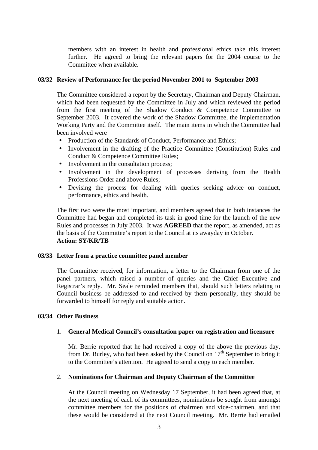members with an interest in health and professional ethics take this interest further. He agreed to bring the relevant papers for the 2004 course to the Committee when available.

## **03/32 Review of Performance for the period November 2001 to September 2003**

The Committee considered a report by the Secretary, Chairman and Deputy Chairman, which had been requested by the Committee in July and which reviewed the period from the first meeting of the Shadow Conduct & Competence Committee to September 2003. It covered the work of the Shadow Committee, the Implementation Working Party and the Committee itself. The main items in which the Committee had been involved were

- Production of the Standards of Conduct, Performance and Ethics;
- Involvement in the drafting of the Practice Committee (Constitution) Rules and Conduct & Competence Committee Rules;
- Involvement in the consultation process;
- Involvement in the development of processes deriving from the Health Professions Order and above Rules;
- Devising the process for dealing with queries seeking advice on conduct, performance, ethics and health.

The first two were the most important, and members agreed that in both instances the Committee had began and completed its task in good time for the launch of the new Rules and processes in July 2003. It was **AGREED** that the report, as amended, act as the basis of the Committee's report to the Council at its awayday in October. **Action: SY/KR/TB**

## **03/33 Letter from a practice committee panel member**

The Committee received, for information, a letter to the Chairman from one of the panel partners, which raised a number of queries and the Chief Executive and Registrar's reply. Mr. Seale reminded members that, should such letters relating to Council business be addressed to and received by them personally, they should be forwarded to himself for reply and suitable action.

## **03/34 Other Business**

## 1. **General Medical Council's consultation paper on registration and licensure**

Mr. Berrie reported that he had received a copy of the above the previous day, from Dr. Burley, who had been asked by the Council on  $17<sup>th</sup>$  September to bring it to the Committee's attention. He agreed to send a copy to each member.

### 2. **Nominations for Chairman and Deputy Chairman of the Committee**

At the Council meeting on Wednesday 17 September, it had been agreed that, at the next meeting of each of its committees, nominations be sought from amongst committee members for the positions of chairmen and vice-chairmen, and that these would be considered at the next Council meeting. Mr. Berrie had emailed